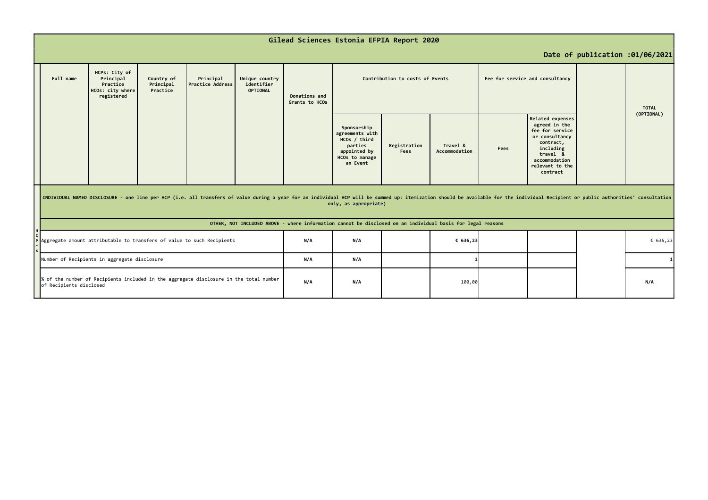|                                                                                                                   | Gilead Sciences Estonia EFPIA Report 2020                                                                                                                                                                                                               |                                                                          |                                     |                                      |                                                 |                                 |                                                                                                         |                      |                           |      |                                                                                                                                                                     |          |                            |
|-------------------------------------------------------------------------------------------------------------------|---------------------------------------------------------------------------------------------------------------------------------------------------------------------------------------------------------------------------------------------------------|--------------------------------------------------------------------------|-------------------------------------|--------------------------------------|-------------------------------------------------|---------------------------------|---------------------------------------------------------------------------------------------------------|----------------------|---------------------------|------|---------------------------------------------------------------------------------------------------------------------------------------------------------------------|----------|----------------------------|
|                                                                                                                   | Date of publication :01/06/2021                                                                                                                                                                                                                         |                                                                          |                                     |                                      |                                                 |                                 |                                                                                                         |                      |                           |      |                                                                                                                                                                     |          |                            |
|                                                                                                                   | Full name                                                                                                                                                                                                                                               | HCPs: City of<br>Principal<br>Practice<br>HCOs: city where<br>registered | Country of<br>Principal<br>Practice | Principal<br><b>Practice Address</b> | Unique country<br>identifier<br><b>OPTIONAL</b> | Donations and<br>Grants to HCOs | Contribution to costs of Events                                                                         |                      |                           |      | Fee for service and consultancy                                                                                                                                     |          | <b>TOTAL</b><br>(OPTIONAL) |
|                                                                                                                   |                                                                                                                                                                                                                                                         |                                                                          |                                     |                                      |                                                 |                                 | Sponsorship<br>agreements with<br>HCOs / third<br>parties<br>appointed by<br>HCOs to manage<br>an Event | Registration<br>Fees | Travel &<br>Accommodation | Fees | <b>Related expenses</b><br>agreed in the<br>fee for service<br>or consultancy<br>contract,<br>including<br>travel &<br>accommodation<br>relevant to the<br>contract |          |                            |
|                                                                                                                   | INDIVIDUAL NAMED DISCLOSURE - one line per HCP (i.e. all transfers of value during a year for an individual HCP will be summed up: itemization should be available for the individual Recipient or public authorities' consult<br>only, as appropriate) |                                                                          |                                     |                                      |                                                 |                                 |                                                                                                         |                      |                           |      |                                                                                                                                                                     |          |                            |
|                                                                                                                   | OTHER, NOT INCLUDED ABOVE - where information cannot be disclosed on an individual basis for legal reasons                                                                                                                                              |                                                                          |                                     |                                      |                                                 |                                 |                                                                                                         |                      |                           |      |                                                                                                                                                                     |          |                            |
|                                                                                                                   | Aggregate amount attributable to transfers of value to such Recipients                                                                                                                                                                                  |                                                                          |                                     |                                      | N/A                                             | N/A                             |                                                                                                         | € 636,23             |                           |      |                                                                                                                                                                     | € 636,23 |                            |
|                                                                                                                   | Number of Recipients in aggregate disclosure                                                                                                                                                                                                            |                                                                          |                                     |                                      | N/A                                             | N/A                             |                                                                                                         |                      |                           |      |                                                                                                                                                                     |          |                            |
| % of the number of Recipients included in the aggregate disclosure in the total number<br>of Recipients disclosed |                                                                                                                                                                                                                                                         |                                                                          |                                     | N/A                                  | N/A                                             |                                 | 100,00                                                                                                  |                      |                           |      | N/A                                                                                                                                                                 |          |                            |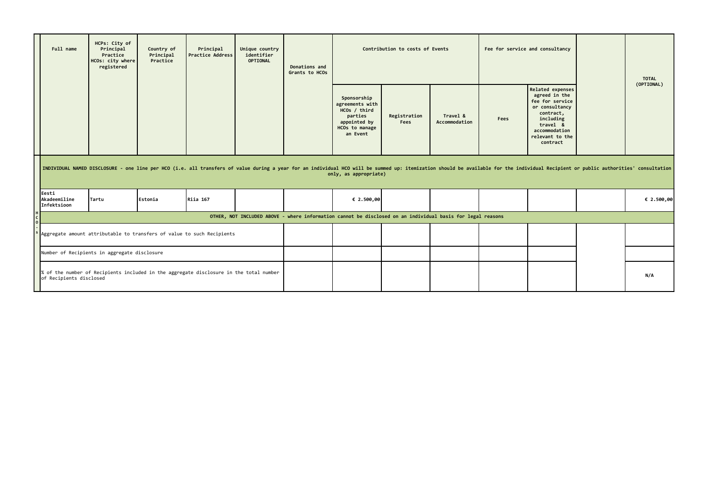|                                                                                                                                                                                                                                                         | Full name                                                              | HCPs: City of<br>Principal<br>Practice<br>HCOs: city where<br>registered | Country of<br>Principal<br>Practice | Principal<br><b>Practice Address</b> | Unique country<br>identifier<br><b>OPTIONAL</b> | Donations and<br>Grants to HCOs | Contribution to costs of Events                                                                         |                      |                           |      | Fee for service and consultancy                                                                                                                              |     | <b>TOTAL</b> |
|---------------------------------------------------------------------------------------------------------------------------------------------------------------------------------------------------------------------------------------------------------|------------------------------------------------------------------------|--------------------------------------------------------------------------|-------------------------------------|--------------------------------------|-------------------------------------------------|---------------------------------|---------------------------------------------------------------------------------------------------------|----------------------|---------------------------|------|--------------------------------------------------------------------------------------------------------------------------------------------------------------|-----|--------------|
|                                                                                                                                                                                                                                                         |                                                                        |                                                                          |                                     |                                      |                                                 |                                 | Sponsorship<br>agreements with<br>HCOs / third<br>parties<br>appointed by<br>HCOs to manage<br>an Event | Registration<br>Fees | Travel &<br>Accommodation | Fees | Related expenses<br>agreed in the<br>fee for service<br>or consultancy<br>contract,<br>including<br>travel &<br>accommodation<br>relevant to the<br>contract |     | (OPTIONAL)   |
| INDIVIDUAL NAMED DISCLOSURE - one line per HCO (i.e. all transfers of value during a year for an individual HCO will be summed up: itemization should be available for the individual Recipient or public authorities' consult<br>only, as appropriate) |                                                                        |                                                                          |                                     |                                      |                                                 |                                 |                                                                                                         |                      |                           |      |                                                                                                                                                              |     |              |
|                                                                                                                                                                                                                                                         | Eesti<br>Akadeemiline<br>Infektsioon                                   | Tartu                                                                    | Estonia                             | Riia 167                             |                                                 |                                 | € 2.500,00                                                                                              |                      |                           |      |                                                                                                                                                              |     | € 2.500,00   |
| OTHER, NOT INCLUDED ABOVE - where information cannot be disclosed on an individual basis for legal reasons                                                                                                                                              |                                                                        |                                                                          |                                     |                                      |                                                 |                                 |                                                                                                         |                      |                           |      |                                                                                                                                                              |     |              |
|                                                                                                                                                                                                                                                         | Aggregate amount attributable to transfers of value to such Recipients |                                                                          |                                     |                                      |                                                 |                                 |                                                                                                         |                      |                           |      |                                                                                                                                                              |     |              |
|                                                                                                                                                                                                                                                         | Number of Recipients in aggregate disclosure                           |                                                                          |                                     |                                      |                                                 |                                 |                                                                                                         |                      |                           |      |                                                                                                                                                              |     |              |
| % of the number of Recipients included in the aggregate disclosure in the total number<br>of Recipients disclosed                                                                                                                                       |                                                                        |                                                                          |                                     |                                      |                                                 |                                 |                                                                                                         |                      |                           |      |                                                                                                                                                              | N/A |              |